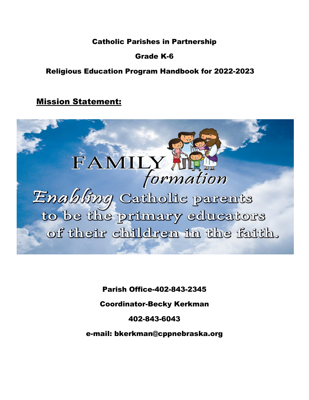#### Catholic Parishes in Partnership

#### Grade K-6

#### Religious Education Program Handbook for 2022-2023

#### Mission Statement:

# FAMILY HE Enabling Catholic parents to be the primary educators of their children in the faith.

Parish Office-402-843-2345

#### Coordinator-Becky Kerkman

#### 402-843-6043

#### e-mail: bkerkman@cppnebraska.org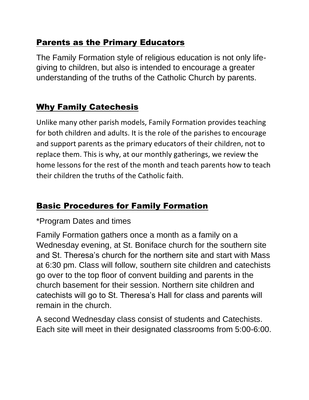# Parents as the Primary Educators

The Family Formation style of religious education is not only lifegiving to children, but also is intended to encourage a greater understanding of the truths of the Catholic Church by parents.

# Why Family Catechesis

Unlike many other parish models, Family Formation provides teaching for both children and adults. It is the role of the parishes to encourage and support parents as the primary educators of their children, not to replace them. This is why, at our monthly gatherings, we review the home lessons for the rest of the month and teach parents how to teach their children the truths of the Catholic faith.

# Basic Procedures for Family Formation

## \*Program Dates and times

Family Formation gathers once a month as a family on a Wednesday evening, at St. Boniface church for the southern site and St. Theresa's church for the northern site and start with Mass at 6:30 pm. Class will follow, southern site children and catechists go over to the top floor of convent building and parents in the church basement for their session. Northern site children and catechists will go to St. Theresa's Hall for class and parents will remain in the church.

A second Wednesday class consist of students and Catechists. Each site will meet in their designated classrooms from 5:00-6:00.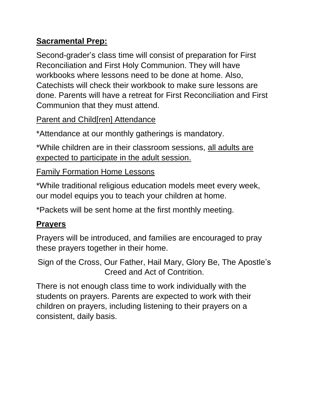## **Sacramental Prep:**

Second-grader's class time will consist of preparation for First Reconciliation and First Holy Communion. They will have workbooks where lessons need to be done at home. Also, Catechists will check their workbook to make sure lessons are done. Parents will have a retreat for First Reconciliation and First Communion that they must attend.

# Parent and Child[ren] Attendance

\*Attendance at our monthly gatherings is mandatory.

\*While children are in their classroom sessions, all adults are expected to participate in the adult session.

## Family Formation Home Lessons

\*While traditional religious education models meet every week, our model equips you to teach your children at home.

\*Packets will be sent home at the first monthly meeting.

# **Prayers**

Prayers will be introduced, and families are encouraged to pray these prayers together in their home.

Sign of the Cross, Our Father, Hail Mary, Glory Be, The Apostle's Creed and Act of Contrition.

There is not enough class time to work individually with the students on prayers. Parents are expected to work with their children on prayers, including listening to their prayers on a consistent, daily basis.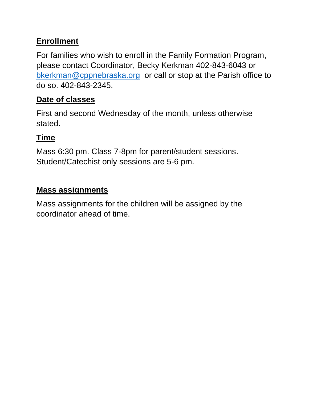# **Enrollment**

For families who wish to enroll in the Family Formation Program, please contact Coordinator, Becky Kerkman 402-843-6043 or [bkerkman@cppnebraska.org](mailto:bkerkman@cppnebraska.org) or call or stop at the Parish office to do so. 402-843-2345.

# **Date of classes**

First and second Wednesday of the month, unless otherwise stated.

# **Time**

Mass 6:30 pm. Class 7-8pm for parent/student sessions. Student/Catechist only sessions are 5-6 pm.

# **Mass assignments**

Mass assignments for the children will be assigned by the coordinator ahead of time.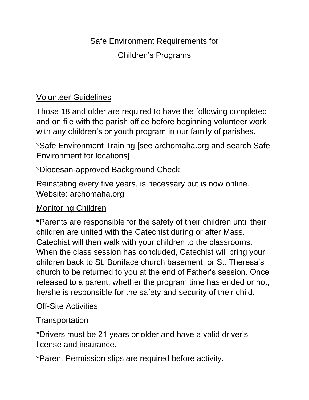# Safe Environment Requirements for Children's Programs

## Volunteer Guidelines

Those 18 and older are required to have the following completed and on file with the parish office before beginning volunteer work with any children's or youth program in our family of parishes.

\*Safe Environment Training [see archomaha.org and search Safe Environment for locations]

\*Diocesan-approved Background Check

Reinstating every five years, is necessary but is now online. Website: archomaha.org

### Monitoring Children

**\***Parents are responsible for the safety of their children until their children are united with the Catechist during or after Mass. Catechist will then walk with your children to the classrooms. When the class session has concluded, Catechist will bring your children back to St. Boniface church basement, or St. Theresa's church to be returned to you at the end of Father's session. Once released to a parent, whether the program time has ended or not, he/she is responsible for the safety and security of their child.

### Off-Site Activities

## **Transportation**

\*Drivers must be 21 years or older and have a valid driver's license and insurance.

\*Parent Permission slips are required before activity.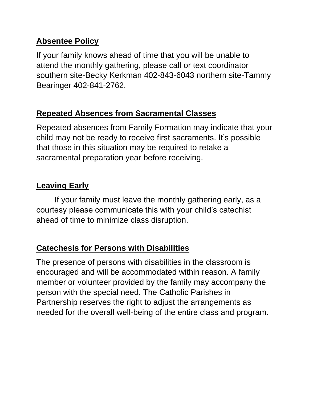# **Absentee Policy**

If your family knows ahead of time that you will be unable to attend the monthly gathering, please call or text coordinator southern site-Becky Kerkman 402-843-6043 northern site-Tammy Bearinger 402-841-2762.

# **Repeated Absences from Sacramental Classes**

Repeated absences from Family Formation may indicate that your child may not be ready to receive first sacraments. It's possible that those in this situation may be required to retake a sacramental preparation year before receiving.

# **Leaving Early**

If your family must leave the monthly gathering early, as a courtesy please communicate this with your child's catechist ahead of time to minimize class disruption.

# **Catechesis for Persons with Disabilities**

The presence of persons with disabilities in the classroom is encouraged and will be accommodated within reason. A family member or volunteer provided by the family may accompany the person with the special need. The Catholic Parishes in Partnership reserves the right to adjust the arrangements as needed for the overall well-being of the entire class and program.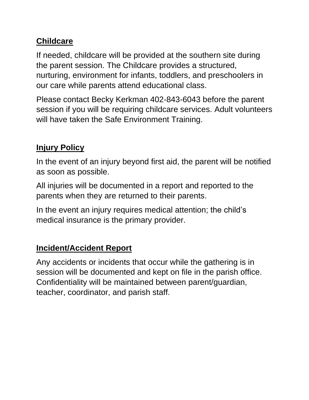## **Childcare**

If needed, childcare will be provided at the southern site during the parent session. The Childcare provides a structured, nurturing, environment for infants, toddlers, and preschoolers in our care while parents attend educational class.

Please contact Becky Kerkman 402-843-6043 before the parent session if you will be requiring childcare services. Adult volunteers will have taken the Safe Environment Training.

# **Injury Policy**

In the event of an injury beyond first aid, the parent will be notified as soon as possible.

All injuries will be documented in a report and reported to the parents when they are returned to their parents.

In the event an injury requires medical attention; the child's medical insurance is the primary provider.

# **Incident/Accident Report**

Any accidents or incidents that occur while the gathering is in session will be documented and kept on file in the parish office. Confidentiality will be maintained between parent/guardian, teacher, coordinator, and parish staff.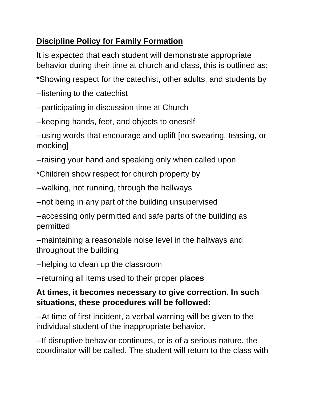# **Discipline Policy for Family Formation**

It is expected that each student will demonstrate appropriate behavior during their time at church and class, this is outlined as:

\*Showing respect for the catechist, other adults, and students by

--listening to the catechist

--participating in discussion time at Church

--keeping hands, feet, and objects to oneself

--using words that encourage and uplift [no swearing, teasing, or mocking]

--raising your hand and speaking only when called upon

\*Children show respect for church property by

--walking, not running, through the hallways

--not being in any part of the building unsupervised

--accessing only permitted and safe parts of the building as permitted

--maintaining a reasonable noise level in the hallways and throughout the building

--helping to clean up the classroom

--returning all items used to their proper pla**ces**

## **At times, it becomes necessary to give correction. In such situations, these procedures will be followed:**

--At time of first incident, a verbal warning will be given to the individual student of the inappropriate behavior.

--If disruptive behavior continues, or is of a serious nature, the coordinator will be called. The student will return to the class with